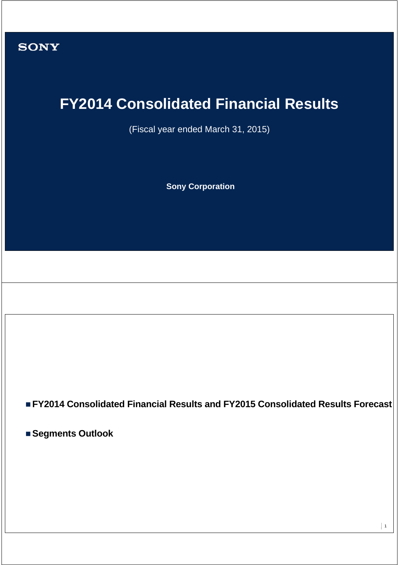

# **FY2014 Consolidated Financial Results**

(Fiscal year ended March 31, 2015)

**Sony Corporation**

**FY2014 Consolidated Financial Results and FY2015 Consolidated Results Forecast**

**Segments Outlook**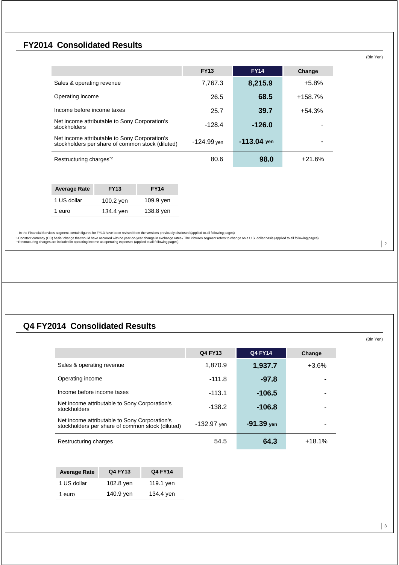### **FY2014 Consolidated Results**

|                                                                                                   | <b>FY13</b> | <b>FY14</b>   | Change    |
|---------------------------------------------------------------------------------------------------|-------------|---------------|-----------|
| Sales & operating revenue                                                                         | 7,767.3     | 8,215.9       | $+5.8%$   |
| Operating income                                                                                  | 26.5        | 68.5          | $+158.7%$ |
| Income before income taxes                                                                        | 25.7        | 39.7          | $+54.3%$  |
| Net income attributable to Sony Corporation's<br>stockholders                                     | $-128.4$    | $-126.0$      |           |
| Net income attributable to Sony Corporation's<br>stockholders per share of common stock (diluted) | -124.99 yen | $-113.04$ yen |           |
| Restructuring charges <sup>*2</sup>                                                               | 80.6        | 98.0          | $+21.6%$  |

| <b>Average Rate</b> | <b>FY13</b> | <b>FY14</b> |
|---------------------|-------------|-------------|
| 1 US dollar         | 100.2 yen   | 109.9 yen   |
| 1 euro              | 134.4 yen   | 138.8 yen   |

→ In the Financial Services segment, certain figures for FY13 have been revised from the versions previously disclosed (applied to all following pages)<br>\*! Constant currency (CC) basis: change that would have occurred with

### **Q4 FY2014 Consolidated Results**

|                                                                                                   | Q4 FY13       | <b>Q4 FY14</b> | Change   |
|---------------------------------------------------------------------------------------------------|---------------|----------------|----------|
| Sales & operating revenue                                                                         | 1,870.9       | 1,937.7        | $+3.6%$  |
| Operating income                                                                                  | $-111.8$      | $-97.8$        |          |
| Income before income taxes                                                                        | $-113.1$      | $-106.5$       |          |
| Net income attributable to Sony Corporation's<br>stockholders                                     | $-138.2$      | $-106.8$       |          |
| Net income attributable to Sony Corporation's<br>stockholders per share of common stock (diluted) | $-132.97$ yen | $-91.39$ yen   |          |
| Restructuring charges                                                                             | 54.5          | 64.3           | $+18.1%$ |

| <b>Average Rate</b> | <b>Q4 FY13</b> | <b>Q4 FY14</b> |
|---------------------|----------------|----------------|
| 1 US dollar         | 102.8 yen      | 119.1 yen      |
| 1 euro              | 140.9 yen      | 134.4 yen      |

(Bln Yen)

(Bln Yen)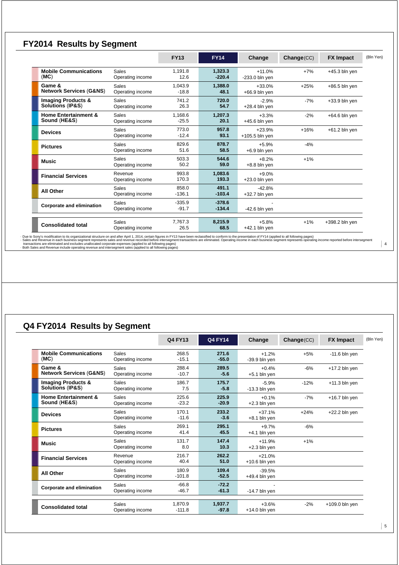# **FY2014 Results by Segment**

|                                                              |                                  | <b>FY13</b>         | <b>FY14</b>          | Change                       | Change(CC) | <b>FX Impact</b> | (Bln Yen) |
|--------------------------------------------------------------|----------------------------------|---------------------|----------------------|------------------------------|------------|------------------|-----------|
| <b>Mobile Communications</b><br>(MC)                         | <b>Sales</b><br>Operating income | 1.191.8<br>12.6     | 1,323.3<br>$-220.4$  | $+11.0%$<br>$-233.0$ bln yen | $+7%$      | $+45.3$ bln yen  |           |
| Game &<br><b>Network Services (G&amp;NS)</b>                 | Sales<br>Operating income        | 1.043.9<br>$-18.8$  | 1.388.0<br>48.1      | $+33.0%$<br>$+66.9$ bln yen  | $+25%$     | $+86.5$ bln yen  |           |
| <b>Imaging Products &amp;</b><br><b>Solutions (IP&amp;S)</b> | Sales<br>Operating income        | 741.2<br>26.3       | 720.0<br>54.7        | $-2.9%$<br>$+28.4$ bln yen   | $-7%$      | $+33.9$ bln yen  |           |
| <b>Home Entertainment &amp;</b><br>Sound (HE&S)              | Sales<br>Operating income        | 1.168.6<br>$-25.5$  | 1.207.3<br>20.1      | $+3.3%$<br>$+45.6$ bln yen   | $-2%$      | $+64.6$ bln yen  |           |
| <b>Devices</b>                                               | Sales<br>Operating income        | 773.0<br>$-12.4$    | 957.8<br>93.1        | $+23.9%$<br>$+105.5$ bln yen | $+16%$     | $+61.2$ bln yen  |           |
| <b>Pictures</b>                                              | <b>Sales</b><br>Operating income | 829.6<br>51.6       | 878.7<br>58.5        | $+5.9%$<br>$+6.9$ bln yen    | $-4%$      |                  |           |
| <b>Music</b>                                                 | <b>Sales</b><br>Operating income | 503.3<br>50.2       | 544.6<br>59.0        | $+8.2%$<br>$+8.8$ bln yen    | $+1%$      |                  |           |
| <b>Financial Services</b>                                    | Revenue<br>Operating income      | 993.8<br>170.3      | 1,083.6<br>193.3     | $+9.0%$<br>$+23.0$ bln yen   |            |                  |           |
| <b>All Other</b>                                             | <b>Sales</b><br>Operating income | 858.0<br>$-136.1$   | 491.1<br>$-103.4$    | $-42.8%$<br>$+32.7$ bln yen  |            |                  |           |
| <b>Corporate and elimination</b>                             | <b>Sales</b><br>Operating income | $-335.9$<br>$-91.7$ | $-378.6$<br>$-134.4$ | $-42.6$ bln yen              |            |                  |           |
| <b>Consolidated total</b>                                    | Sales<br>Operating income        | 7.767.3<br>26.5     | 8,215.9<br>68.5      | $+5.8%$<br>$+42.1$ bln yen   | $+1%$      | +398.2 bln yen   |           |

- Due to Sony's modification to its organizational structure on and after Apri 1, 2014, certain figures in FY13 have been reclassified to conform to the presentation of FY14 (applied to all following pages)<br>\_transations a

# **Q4 FY2014 Results by Segment**

|                                                              |                                  | Q4 FY13             | <b>Q4 FY14</b>     | Change                      | Change(CC) | <b>FX Impact</b> | (Bln Yen) |
|--------------------------------------------------------------|----------------------------------|---------------------|--------------------|-----------------------------|------------|------------------|-----------|
| <b>Mobile Communications</b><br>(MC)                         | Sales<br>Operating income        | 268.5<br>$-15.1$    | 271.6<br>$-55.0$   | $+1.2%$<br>$-39.9$ bln yen  | $+5%$      | $-11.6$ bln yen  |           |
| Game &<br><b>Network Services (G&amp;NS)</b>                 | Sales<br>Operating income        | 288.4<br>$-10.7$    | 289.5<br>$-5.6$    | $+0.4%$<br>$+5.1$ bln yen   | $-6%$      | $+17.2$ bln yen  |           |
| <b>Imaging Products &amp;</b><br><b>Solutions (IP&amp;S)</b> | Sales<br>Operating income        | 186.7<br>7.5        | 175.7<br>$-5.8$    | $-5.9%$<br>$-13.3$ bln yen  | $-12%$     | $+11.3$ bln yen  |           |
| <b>Home Entertainment &amp;</b><br>Sound (HE&S)              | <b>Sales</b><br>Operating income | 225.6<br>$-23.2$    | 225.9<br>$-20.9$   | $+0.1%$<br>$+2.3$ bln yen   | $-7%$      | $+16.7$ bln yen  |           |
| <b>Devices</b>                                               | Sales<br>Operating income        | 170.1<br>$-11.6$    | 233.2<br>$-3.6$    | $+37.1%$<br>$+8.1$ bln yen  | $+24%$     | $+22.2$ bln yen  |           |
| <b>Pictures</b>                                              | Sales<br>Operating income        | 269.1<br>41.4       | 295.1<br>45.5      | $+9.7%$<br>$+4.1$ bln yen   | $-6%$      |                  |           |
| <b>Music</b>                                                 | Sales<br>Operating income        | 131.7<br>8.0        | 147.4<br>10.3      | $+11.9%$<br>$+2.3$ bln yen  | $+1%$      |                  |           |
| <b>Financial Services</b>                                    | Revenue<br>Operating income      | 216.7<br>40.4       | 262.2<br>51.0      | $+21.0%$<br>$+10.6$ bln yen |            |                  |           |
| <b>All Other</b>                                             | Sales<br>Operating income        | 180.9<br>$-101.8$   | 109.4<br>$-52.5$   | $-39.5%$<br>$+49.4$ bln yen |            |                  |           |
| <b>Corporate and elimination</b>                             | Sales<br>Operating income        | $-66.8$<br>$-46.7$  | $-72.2$<br>$-61.3$ | $-14.7$ bln yen             |            |                  |           |
| <b>Consolidated total</b>                                    | <b>Sales</b><br>Operating income | 1.870.9<br>$-111.8$ | 1.937.7<br>$-97.8$ | $+3.6%$<br>$+14.0$ bln yen  | $-2%$      | $+109.0$ bln yen |           |

5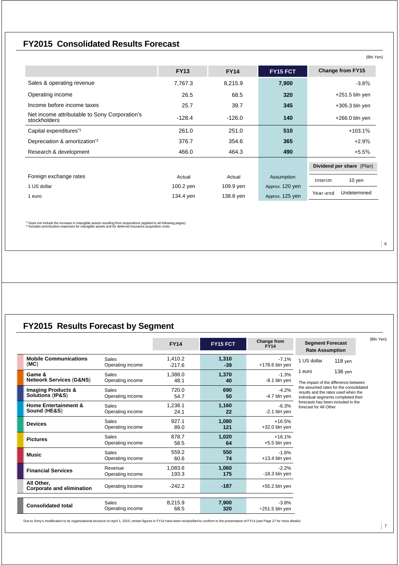# **FY2015 Consolidated Results Forecast**

|                                                               | <b>FY13</b> | <b>FY14</b> | FY15 FCT        | <b>Change from FY15</b>   |
|---------------------------------------------------------------|-------------|-------------|-----------------|---------------------------|
| Sales & operating revenue                                     | 7,767.3     | 8,215.9     | 7,900           | $-3.8\%$                  |
| Operating income                                              | 26.5        | 68.5        | 320             | $+251.5$ bln yen          |
| Income before income taxes                                    | 25.7        | 39.7        | 345             | $+305.3$ bln yen          |
| Net income attributable to Sony Corporation's<br>stockholders | $-128.4$    | $-126.0$    | 140             | $+266.0$ bln yen          |
| Capital expenditures*1                                        | 261.0       | 251.0       | 510             | $+103.1%$                 |
| Depreciation & amortization <sup>*2</sup>                     | 376.7       | 354.6       | 365             | $+2.9%$                   |
| Research & development                                        | 466.0       | 464.3       | 490             | $+5.5%$                   |
|                                                               |             |             |                 | Dividend per share (Plan) |
| Foreign exchange rates                                        | Actual      | Actual      | Assumption      | Interim<br>10 yen         |
| 1 US dollar                                                   | 100.2 yen   | 109.9 yen   | Approx. 120 yen |                           |
| 1 euro                                                        | 134.4 yen   | 138.8 yen   | Approx. 125 yen | Undetermined<br>Year-end  |

\*1 Does not include the increase in intangible assets resulting from acquisitions (applied to all following pages) \*2 Includes amortization expenses for intangible assets and for deferred insurance acquisition costs

# **FY2015 Results Forecast by Segment**

|                                                              |                                  | <b>FY14</b>         | FY15 FCT       | Change from<br>$F\bar{Y}14$ | <b>Segment Forecast</b><br><b>Rate Assumption</b>                                                                    | (Bln Yen) |
|--------------------------------------------------------------|----------------------------------|---------------------|----------------|-----------------------------|----------------------------------------------------------------------------------------------------------------------|-----------|
| <b>Mobile Communications</b><br>(MC)                         | <b>Sales</b><br>Operating income | 1.410.2<br>$-217.6$ | 1.310<br>$-39$ | $-7.1%$<br>$+178.6$ bln yen | 1 US dollar<br>$118$ yen                                                                                             |           |
| Game &<br><b>Network Services (G&amp;NS)</b>                 | Sales<br>Operating income        | 1.388.0<br>48.1     | 1.370<br>40    | $-1.3%$<br>$-8.1$ bln yen   | 136 yen<br>1 euro<br>The impact of the difference between                                                            |           |
| <b>Imaging Products &amp;</b><br><b>Solutions (IP&amp;S)</b> | <b>Sales</b><br>Operating income | 720.0<br>54.7       | 690<br>50      | $-4.2%$<br>-4.7 bln yen     | the assumed rates for the consolidated<br>results and the rates used when the<br>individual segments completed their |           |
| <b>Home Entertainment &amp;</b><br>Sound (HE&S)              | Sales<br>Operating income        | 1,238.1<br>24.1     | 1.160<br>22    | $-6.3%$<br>$-2.1$ bln yen   | forecasts has been included in the<br>forecast for All Other                                                         |           |
| <b>Devices</b>                                               | <b>Sales</b><br>Operating income | 927.1<br>89.0       | 1.080<br>121   | $+16.5%$<br>$+32.0$ bln yen |                                                                                                                      |           |
| <b>Pictures</b>                                              | Sales<br>Operating income        | 878.7<br>58.5       | 1.020<br>64    | $+16.1%$<br>$+5.5$ bln yen  |                                                                                                                      |           |
| <b>Music</b>                                                 | Sales<br>Operating income        | 559.2<br>60.6       | 550<br>74      | $-1.6%$<br>$+13.4$ bln yen  |                                                                                                                      |           |
| <b>Financial Services</b>                                    | Revenue<br>Operating income      | 1,083.6<br>193.3    | 1.060<br>175   | $-2.2%$<br>$-18.3$ bln yen  |                                                                                                                      |           |
| All Other.<br><b>Corporate and elimination</b>               | Operating income                 | $-242.2$            | $-187$         | $+55.2$ bln yen             |                                                                                                                      |           |
| <b>Consolidated total</b>                                    | Sales<br>Operating income        | 8.215.9<br>68.5     | 7,900<br>320   | $-3.8%$<br>$+251.5$ bln yen |                                                                                                                      |           |

· Due to Sony's modification to its organizational structure on April 1, 2015, certain figures in FY14 have been reclassified to conform to the presentation of FY14 (see Page 27 for more details)

 $\vert 6$ 

 $|7|$ 

(Bln Yen)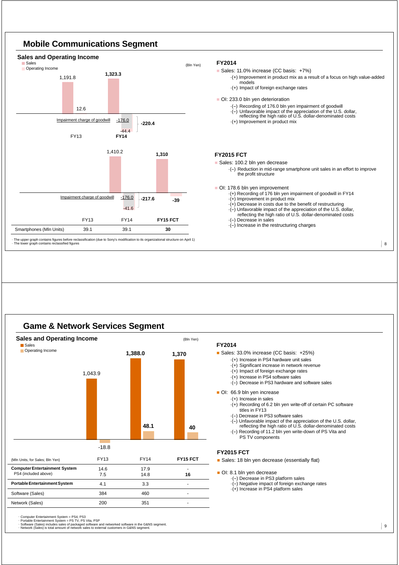

### **Game & Network Services Segment**



### **FY2014**

Sales: 33.0% increase (CC basis: +25%)

- ·(+) Increase in PS4 hardware unit sales
- ·(+) Significant increase in network revenue
- $\cdot$ (+) Impact of foreign exchange rates
- ·(+) Increase in PS4 software sales
- $\cdot$ (-) Decrease in PS3 hardware and software sales

#### OI: 66.9 bln yen increase

- ·(+) Increase in sales
- ·(+) Recording of 6.2 bln yen write-off of certain PC software titles in FY13
- -) Decrease in PS3 software sales
- 
- ·(--) Unfavorable impact of the appreciation of the U.S. dollar, reflecting the high ratio of U.S. dollar-denominated costs ·(--) Recording of 11.2 bln yen write-down of PS Vita and PS TV components

#### **FY2015 FCT**

Sales: 18 bln ven decrease (essentially flat)

OI: 8.1 bln yen decrease

- ·(--) Decrease in PS3 platform sales
- $\cdot$ (-) Negative impact of foreign exchange rates ·(+) Increase in PS4 platform sales
- 

・ Computer Entertainment System = PS4, PS3 ・ Portable Entertainment System = PS TV, PS Vita, PSP

・ Software (Sales) includes sales of packaged software and networked software in the G&NS segment. ・ Network (Sales) is total amount of network sales to external customers in G&NS segment.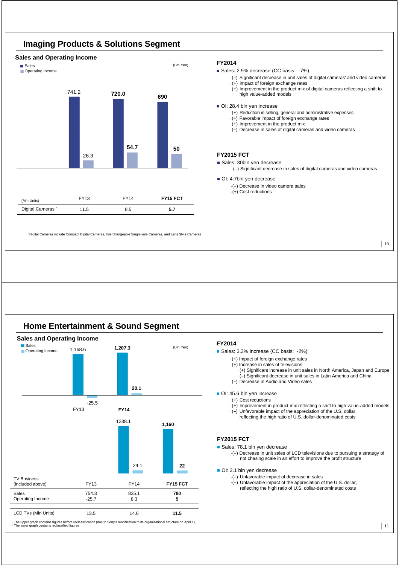

# **Imaging Products & Solutions Segment**

### **FY2014**

Sales: 2.9% decrease (CC basis: -7%)

- ·(--) Significant decrease in unit sales of digital cameras\* and video cameras ·(+) Impact of foreign exchange rates
- ·(+) Improvement in the product mix of digital cameras reflecting a shift to high value-added models
- OI: 28.4 bln yen increase
	- ·(+) Reduction in selling, general and administrative expenses
	- ·(+) Favorable impact of foreign exchange rates
	- ·(+) Improvement in the product mix
	- $\cdot$ (-) Decrease in sales of digital cameras and video cameras

#### **FY2015 FCT**

Sales: 30bln yen decrease

·(--) Significant decrease in sales of digital cameras and video cameras

10

OI: 4.7bln yen decrease

- ·(--) Decrease in video camera sales
- $\cdot$ (+) Cost reductions

\* Digital Cameras include Compact Digital Cameras, Interchangeable Single-lens Cameras, and Lens Style Cameras

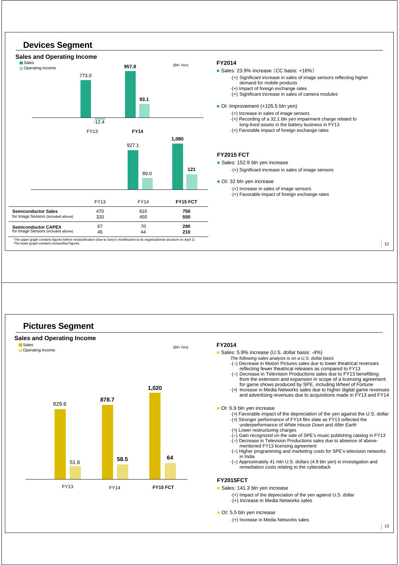

### **FY2014**

Sales: 23.9% increase (CC basis: +16%)

- ·(+) Significant increase in sales of image sensors reflecting higher demand for mobile products
- ·(+) Impact of foreign exchange rates
- ·(+) Significant increase in sales of camera modules

#### OI: Improvement (+105.5 bln yen)

- ·(+) Increase in sales of image sensors
- ·(+) Recording of a 32.1 bln yen impairment charge related to long-lived assets in the battery business in FY13
- ·(+) Favorable impact of foreign exchange rates

#### **FY2015 FCT**

- Sales: 152.9 bln yen increase
	- ·(+) Significant increase in sales of image sensors

OI: 32 bln yen increase

·(+) Increase in sales of image sensors ·(+) Favorable impact of foreign exchange rates

12

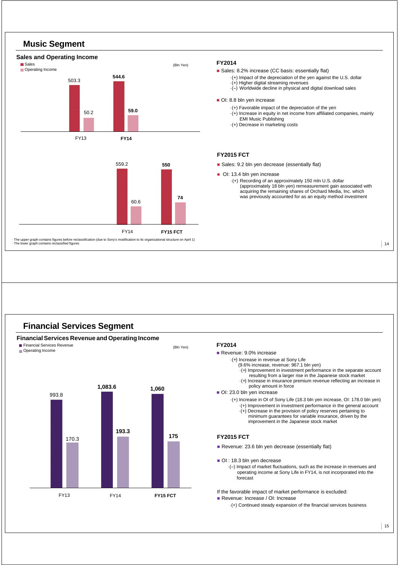

### **Financial Services Segment**

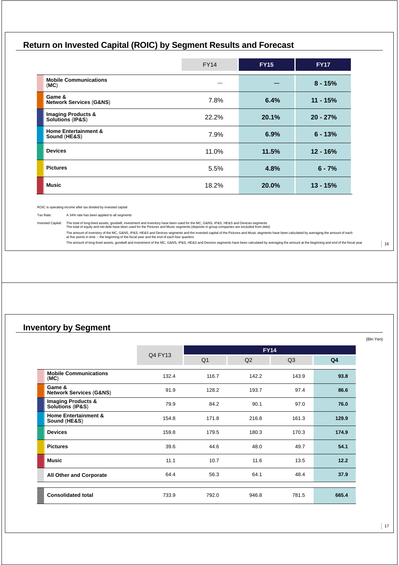# **Return on Invested Capital (ROIC) by Segment Results and Forecast**

|                                                    | <b>FY14</b> | <b>FY15</b> | <b>FY17</b> |
|----------------------------------------------------|-------------|-------------|-------------|
| <b>Mobile Communications</b><br>(MC)               |             |             | $8 - 15%$   |
| Game &<br><b>Network Services (G&amp;NS)</b>       | 7.8%        | 6.4%        | $11 - 15%$  |
| <b>Imaging Products &amp; Solutions (IP&amp;S)</b> | 22.2%       | 20.1%       | $20 - 27%$  |
| <b>Home Entertainment &amp;</b><br>Sound (HE&S)    | 7.9%        | 6.9%        | $6 - 13%$   |
| <b>Devices</b>                                     | 11.0%       | 11.5%       | $12 - 16%$  |
| <b>Pictures</b>                                    | 5.5%        | 4.8%        | $6 - 7%$    |
| <b>Music</b>                                       | 18.2%       | 20.0%       | $13 - 15%$  |

ROIC is operating income after tax divided by invested capital

Tax Rate: A 34% rate has been applied to all segments

Invested Capital: The total of long-lived assets, goodwill, investment and inventory have been used for the MC, G&NS, IP&S, HE&S and Devices segments<br>The total of equity and net debt have been used for the Pictures and Mus

The amount of inventory of the MC, G&NS, IP&S, HE&S and Devices segments and the invested capital of the Pictures and Music segments have been calculated by averaging the amount of each<br>at five points in time ⊶ the beginn

The amount of long-lived assets, goodwill and investment of the MC, G&NS, IP&S, HE&S and Devices segments have been calculated by averaging the amount at the beginning and end of the fiscal year

### **Inventory by Segment**

|                                                              |         | <b>FY14</b>    |                |                |                |  |  |  |  |
|--------------------------------------------------------------|---------|----------------|----------------|----------------|----------------|--|--|--|--|
|                                                              | Q4 FY13 | Q <sub>1</sub> | Q <sub>2</sub> | Q <sub>3</sub> | Q <sub>4</sub> |  |  |  |  |
| <b>Mobile Communications</b><br>(MC)                         | 132.4   | 116.7          | 142.2          | 143.9          | 93.8           |  |  |  |  |
| Game &<br><b>Network Services (G&amp;NS)</b>                 | 91.9    | 128.2          | 193.7          | 97.4           | 86.6           |  |  |  |  |
| <b>Imaging Products &amp;</b><br><b>Solutions (IP&amp;S)</b> | 79.9    | 84.2           | 90.1           | 97.0           | 76.0           |  |  |  |  |
| <b>Home Entertainment &amp;</b><br>Sound (HE&S)              | 154.8   | 171.8          | 216.8          | 161.3          | 129.9          |  |  |  |  |
| <b>Devices</b>                                               | 159.8   | 179.5          | 180.3          | 170.3          | 174.9          |  |  |  |  |
| <b>Pictures</b>                                              | 39.6    | 44.6           | 48.0           | 49.7           | 54.1           |  |  |  |  |
| <b>Music</b>                                                 | 11.1    | 10.7           | 11.6           | 13.5           | 12.2           |  |  |  |  |
| <b>All Other and Corporate</b>                               | 64.4    | 56.3           | 64.1           | 48.4           | 37.9           |  |  |  |  |
| <b>Consolidated total</b>                                    | 733.9   | 792.0          | 946.8          | 781.5          | 665.4          |  |  |  |  |

(Bln Yen)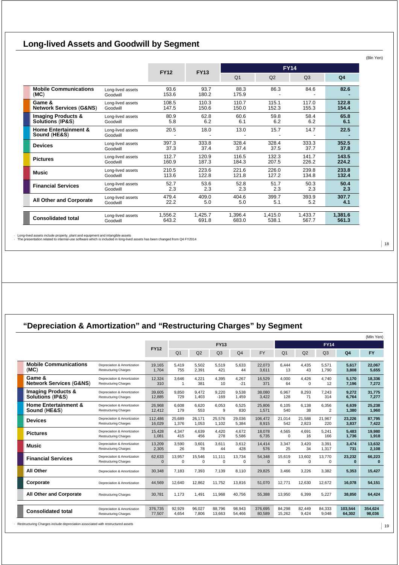# **Long-lived Assets and Goodwill by Segment**

|                                                 |                               | <b>FY12</b>   | <b>FY13</b>   | <b>FY14</b>    |                |                |                |
|-------------------------------------------------|-------------------------------|---------------|---------------|----------------|----------------|----------------|----------------|
|                                                 |                               |               |               | O <sub>1</sub> | Q <sub>2</sub> | O <sub>3</sub> | Q <sub>4</sub> |
| <b>Mobile Communications</b><br>(MC)            | Long-lived assets<br>Goodwill | 93.6<br>153.6 | 93.7<br>180.2 | 88.3<br>175.9  | 86.3           | 84.6           | 82.6           |
| Game &                                          | Long-lived assets             | 108.5         | 110.3         | 110.7          | 115.1          | 117.0          | 122.8          |
| <b>Network Services (G&amp;NS)</b>              | Goodwill                      | 147.5         | 150.6         | 150.0          | 152.3          | 155.3          | 154.4          |
| <b>Imaging Products &amp;</b>                   | Long-lived assets             | 80.9          | 62.8          | 60.6           | 59.8           | 58.4           | 65.8           |
| <b>Solutions (IP&amp;S)</b>                     | Goodwill                      | 5.8           | 6.2           | 6.1            | 6.2            | 6.2            | 6.1            |
| <b>Home Entertainment &amp;</b><br>Sound (HE&S) | Long-lived assets<br>Goodwill | 20.5          | 18.0          | 13.0           | 15.7           | 14.7           | 22.5           |
| <b>Devices</b>                                  | Long-lived assets             | 397.3         | 333.8         | 328.4          | 328.4          | 333.3          | 352.5          |
|                                                 | Goodwill                      | 37.3          | 37.4          | 37.4           | 37.5           | 37.7           | 37.8           |
| <b>Pictures</b>                                 | Long-lived assets             | 112.7         | 120.9         | 116.5          | 132.3          | 141.7          | 143.5          |
|                                                 | Goodwill                      | 160.9         | 187.3         | 184.3          | 207.5          | 226.2          | 224.2          |
| <b>Music</b>                                    | Long-lived assets             | 210.5         | 223.6         | 221.6          | 226.0          | 239.8          | 233.8          |
|                                                 | Goodwill                      | 113.6         | 122.8         | 121.8          | 127.2          | 134.8          | 132.4          |
| <b>Financial Services</b>                       | Long-lived assets             | 52.7          | 53.6          | 52.8           | 51.7           | 50.3           | 50.4           |
|                                                 | Goodwill                      | 2.3           | 2.3           | 2.3            | 2.3            | 2.3            | 2.3            |
| <b>All Other and Corporate</b>                  | Long-lived assets             | 479.4         | 409.0         | 404.6          | 399.7          | 393.9          | 307.7          |
|                                                 | Goodwill                      | 22.2          | 5.0           | 5.0            | 5.1            | 5.2            | 4.1            |
| <b>Consolidated total</b>                       | Long-lived assets             | 1,556.2       | 1,425.7       | 1,396.4        | 1,415.0        | 1,433.7        | 1,381.6        |
|                                                 | Goodwill                      | 643.2         | 691.8         | 683.0          | 538.1          | 567.7          | 561.3          |

· Long-lived assets include property, plant and equipment and intangible assets · The presentation related to internal-use software which is included in long-lived assets has been changed from Q4 FY2014

# **"Depreciation & Amortization" and "Restructuring Charges" by Segment**

|       |                                                              |                                                             |                    |                         |                    |                    |                    |                    |                    |                    |                    |                    | (Mln Yen)         |
|-------|--------------------------------------------------------------|-------------------------------------------------------------|--------------------|-------------------------|--------------------|--------------------|--------------------|--------------------|--------------------|--------------------|--------------------|--------------------|-------------------|
|       |                                                              |                                                             |                    |                         |                    | <b>FY13</b>        |                    |                    |                    |                    | <b>FY14</b>        |                    |                   |
|       |                                                              |                                                             | <b>FY12</b>        | Q <sub>1</sub>          | Q2                 | Q <sub>3</sub>     | Q <sub>4</sub>     | <b>FY</b>          | Q <sub>1</sub>     | Q2                 | Q <sub>3</sub>     | Q <sub>4</sub>     | <b>FY</b>         |
| (MC)  | <b>Mobile Communications</b>                                 | Depreciation & Amortization<br><b>Restructuring Charges</b> | 19.165<br>1.704    | 5,419<br>755            | 5.502<br>2.391     | 5,519<br>421       | 5.633<br>44        | 22,073<br>3.611    | 6.444<br>13        | 4,435<br>43        | 5.571<br>1.790     | 5,617<br>3.808     | 22,067<br>5,655   |
|       | Game &<br><b>Network Services (G&amp;NS)</b>                 | Depreciation & Amortization<br><b>Restructuring Charges</b> | 12.324<br>310      | 3.646<br>$\overline{1}$ | 4.221<br>381       | 4.395<br>10        | 4.267<br>$-21$     | 16.529<br>371      | 4.000<br>64        | 4.426<br>$\Omega$  | 4.740<br>12        | 5.170<br>7,196     | 18,336<br>7,272   |
|       | <b>Imaging Products &amp;</b><br><b>Solutions (IP&amp;S)</b> | Depreciation & Amortization<br><b>Restructuring Charges</b> | 39,605<br>12,885   | 9.850<br>729            | 9.472<br>1.403     | 9.220<br>$-169$    | 9.538<br>1.459     | 38.080<br>3.422    | 6.967<br>128       | 8.293<br>71        | 7.243<br>314       | 9.272<br>6,764     | 31,775<br>7,277   |
|       | <b>Home Entertainment &amp;</b><br>Sound (HE&S)              | Depreciation & Amortization<br><b>Restructuring Charges</b> | 26,968<br>12,412   | 6.608<br>179            | 6.620<br>553       | 6.053<br>9         | 6,525<br>830       | 25.806<br>1,571    | 6.105<br>540       | 6.138<br>38        | 6.356<br>2         | 6.639<br>1,380     | 25,238<br>1,960   |
|       | <b>Devices</b>                                               | Depreciation & Amortization<br><b>Restructuring Charges</b> | 112.486<br>16,029  | 25.689<br>1.376         | 26.171<br>1.053    | 25.576<br>1,102    | 29.036<br>5,384    | 106.472<br>8,915   | 21.014<br>542      | 21.588<br>2,823    | 21.967<br>220      | 23,226<br>3,837    | 87,795<br>7,422   |
|       | <b>Pictures</b>                                              | Depreciation & Amortization<br><b>Restructuring Charges</b> | 15.428<br>1,081    | 4.347<br>415            | 4.639<br>456       | 4.420<br>278       | 4.672<br>5.586     | 18.078<br>6.735    | 4.565<br>0         | 4.691<br>16        | 5.241<br>166       | 5,483<br>1,736     | 19,980<br>1,918   |
| Music |                                                              | Depreciation & Amortization<br><b>Restructuring Charges</b> | 13,209<br>2,305    | 3,590<br>26             | 3.601<br>78        | 3.611<br>44        | 3.612<br>428       | 14.414<br>576      | 3.347<br>25        | 3.420<br>34        | 3.391<br>1,317     | 3,474<br>731       | 13,632<br>2,108   |
|       | <b>Financial Services</b>                                    | Depreciation & Amortization<br><b>Restructuring Charges</b> | 62,633<br>$\Omega$ | 13,957<br>$\Omega$      | 15,546<br>$\Omega$ | 11.111<br>$\Omega$ | 13,734<br>$\Omega$ | 54,348<br>$\Omega$ | 15,619<br>$\Omega$ | 13,602<br>$\Omega$ | 13,770<br>$\Omega$ | 23,232<br>$\Omega$ | 66,223<br>n       |
|       | All Other                                                    | Depreciation & Amortization                                 | 30,348             | 7.183                   | 7.393              | 7.139              | 8.110              | 29.825             | 3.466              | 3,226              | 3.382              | 5,353              | 15,427            |
|       | Corporate                                                    | Depreciation & Amortization                                 | 44,569             | 12,640                  | 12,862             | 11,752             | 13,816             | 51,070             | 12,771             | 12,630             | 12,672             | 16,078             | 54,151            |
|       | <b>All Other and Corporate</b>                               | <b>Restructuring Charges</b>                                | 30,781             | 1,173                   | 1,491              | 11,968             | 40,756             | 55,388             | 13,950             | 6,399              | 5,227              | 38,850             | 64,424            |
|       | <b>Consolidated total</b>                                    | Depreciation & Amortization<br><b>Restructuring Charges</b> | 376,735<br>77.507  | 92,929<br>4.654         | 96,027<br>7.806    | 88,796<br>13.663   | 98,943<br>54.466   | 376,695<br>80.589  | 84,298<br>15,262   | 82,449<br>9,424    | 84,333<br>9.048    | 103,544<br>64,302  | 354,624<br>98,036 |

· Restructuring Charges include depreciation associated with restructured assets

Yen)

 $|18$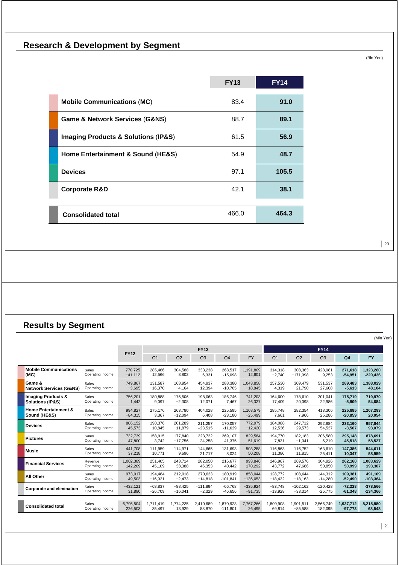**Research & Development by Segment** 

(Bln Yen)

 $\vert$  20

|                                                    | <b>FY13</b> | <b>EY14</b> |
|----------------------------------------------------|-------------|-------------|
| <b>Mobile Communications (MC)</b>                  | 83.4        | 91.0        |
| <b>Game &amp; Network Services (G&amp;NS)</b>      | 88.7        | 89.1        |
| <b>Imaging Products &amp; Solutions (IP&amp;S)</b> | 61.5        | 56.9        |
| Home Entertainment & Sound (HE&S)                  | 54.9        | 48.7        |
| <b>Devices</b>                                     | 97.1        | 105.5       |
| <b>Corporate R&amp;D</b>                           | 42.1        | 38.1        |
|                                                    |             |             |
| <b>Consolidated total</b>                          | 466.0       | 464.3       |

**Results by Segment** 

|                                    |                  |             |                |           |                |                |            |                |            |                |                | (Mln Yen)  |
|------------------------------------|------------------|-------------|----------------|-----------|----------------|----------------|------------|----------------|------------|----------------|----------------|------------|
|                                    |                  |             |                |           | <b>FY13</b>    |                |            |                |            | <b>FY14</b>    |                |            |
|                                    |                  | <b>FY12</b> | Q <sub>1</sub> | Q2        | Q <sub>3</sub> | Q <sub>4</sub> | <b>FY</b>  | Q <sub>1</sub> | Q2         | Q <sub>3</sub> | Q <sub>4</sub> | <b>FY</b>  |
| <b>Mobile Communications</b>       | Sales            | 770.725     | 285.466        | 304,588   | 333.238        | 268.517        | 1,191,809  | 314,318        | 308.363    | 428,981        | 271.618        | 1,323,280  |
| (MC)                               | Operating income | $-41.112$   | 12,566         | 8,802     | 6,331          | $-15,098$      | 12,601     | $-2.740$       | $-171.998$ | 9,253          | $-54,951$      | $-220,436$ |
| Game &                             | Sales            | 749,867     | 131.587        | 168.954   | 454,937        | 288,380        | 1,043,858  | 257,530        | 309.479    | 531,537        | 289,483        | 1,388,029  |
| <b>Network Services (G&amp;NS)</b> | Operating income | $-3,695$    | $-16,370$      | $-4,164$  | 12,394         | $-10,705$      | $-18,845$  | 4,319          | 21,790     | 27,608         | $-5,613$       | 48,104     |
| <b>Imaging Products &amp;</b>      | Sales            | 756,201     | 180,888        | 175,506   | 198.063        | 186.746        | 741,203    | 164,600        | 178,610    | 201,041        | 175.719        | 719,970    |
| Solutions (IP&S)                   | Operating income | 1,442       | 9.097          | $-2.308$  | 12,071         | 7,467          | 26,327     | 17.409         | 20,098     | 22,986         | $-5,809$       | 54,684     |
| <b>Home Entertainment &amp;</b>    | Sales            | 994,827     | 275.176        | 263,780   | 404,028        | 225,595        | 1,168,579  | 285,748        | 282,354    | 413,306        | 225,885        | 1,207,293  |
| Sound (HE&S)                       | Operating income | $-84,315$   | 3,367          | $-12,094$ | 6,408          | $-23,180$      | $-25,499$  | 7,661          | 7,966      | 25,286         | $-20,859$      | 20,054     |
| <b>Devices</b>                     | Sales            | 806,152     | 190.376        | 201,289   | 211,257        | 170.057        | 772,979    | 184,088        | 247.712    | 292,884        | 233,160        | 957,844    |
|                                    | Operating income | 45,573      | 10.845         | 11.879    | $-23,515$      | $-11.629$      | $-12,420$  | 12.536         | 29.573     | 54,537         | $-3,567$       | 93,079     |
| <b>Pictures</b>                    | Sales            | 732,739     | 158.915        | 177.840   | 223,722        | 269.107        | 829.584    | 194.770        | 182.183    | 206,580        | 295,148        | 878,691    |
|                                    | Operating income | 47,800      | 3.742          | $-17,756$ | 24,258         | 41,375         | 51,619     | 7.831          | $-1,041$   | 6,219          | 45,518         | 58,527     |
| <b>Music</b>                       | Sales            | 441,708     | 111.959        | 114,971   | 144.665        | 131.693        | 503,288    | 116.863        | 116.752    | 163,610        | 147,386        | 544,611    |
|                                    | Operating income | 37,218      | 10.771         | 9.696     | 21,717         | 8.024          | 50,208     | 11,386         | 11,815     | 25,411         | 10,347         | 58,959     |
| <b>Financial Services</b>          | Revenue          | 1,002,389   | 251,405        | 243,714   | 282,050        | 216,677        | 993,846    | 246,967        | 269,576    | 304,926        | 262,160        | 1,083,629  |
|                                    | Operating income | 142,209     | 45,109         | 38,388    | 46,353         | 40,442         | 170,292    | 43,772         | 47,686     | 50,850         | 50,999         | 193,307    |
| <b>All Other</b>                   | Sales            | 973,017     | 194,484        | 212,018   | 270,623        | 180,919        | 858,044    | 128,772        | 108,644    | 144,312        | 109,381        | 491,109    |
|                                    | Operating income | 49,503      | $-16,921$      | $-2,473$  | $-14,818$      | $-101,841$     | $-136,053$ | $-18,432$      | $-18,163$  | $-14,280$      | $-52,490$      | $-103,364$ |
| Corporate and elimination          | Sales            | $-432,121$  | $-68,837$      | $-88,425$ | $-111,894$     | $-66.768$      | $-335,924$ | $-83,748$      | $-102,162$ | $-120,428$     | $-72,228$      | $-378,566$ |
|                                    | Operating income | 31,880      | $-26,709$      | $-16,041$ | $-2,329$       | $-46,656$      | $-91,735$  | $-13,928$      | $-33,314$  | $-25,775$      | $-61,348$      | $-134,366$ |
| <b>Consolidated total</b>          | Sales            | 6.795.504   | 1.711.419      | 1.774.235 | 2,410,689      | 1,870,923      | 7,767,266  | 1.809.908      | 1.901.511  | 2,566,749      | 1,937,712      | 8,215,880  |
|                                    | Operating income | 226,503     | 35.497         | 13,929    | 88,870         | $-111.801$     | 26,495     | 69,814         | $-85.588$  | 182,095        | $-97,773$      | 68,548     |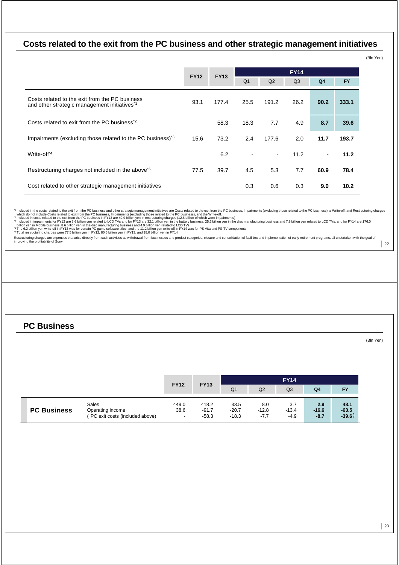### **Costs related to the exit from the PC business and other strategic management initiatives**

|                                                                                                |             |             |                          |        |                |                |                   | (Bln Yen) |
|------------------------------------------------------------------------------------------------|-------------|-------------|--------------------------|--------|----------------|----------------|-------------------|-----------|
|                                                                                                | <b>FY12</b> | <b>FY14</b> |                          |        |                |                |                   |           |
|                                                                                                |             | <b>FY13</b> | Q <sub>1</sub>           | Q2     | Q <sub>3</sub> | Q <sub>4</sub> | <b>FY</b>         |           |
| Costs related to the exit from the PC business<br>and other strategic management initiatives*1 | 93.1        | 177.4       | 25.5                     | 191.2  | 26.2           | 90.2           | 333.1             |           |
| Costs related to exit from the PC business <sup>*2</sup>                                       |             | 58.3        | 18.3                     | 7.7    | 4.9            | 8.7            | 39.6              |           |
| Impairments (excluding those related to the PC business) <sup>3</sup>                          | 15.6        | 73.2        | 2.4                      | 177.6  | 2.0            | 11.7           | 193.7             |           |
| Write-off <sup>*4</sup>                                                                        |             | 6.2         | $\overline{\phantom{a}}$ | $\sim$ | 11.2           | $\blacksquare$ | 11.2              |           |
| Restructuring charges not included in the above <sup>*5</sup>                                  | 77.5        | 39.7        | 4.5                      | 5.3    | 7.7            | 60.9           | 78.4              |           |
| Cost related to other strategic management initiatives                                         |             |             | 0.3                      | 0.6    | 0.3            | 9.0            | 10.2 <sub>1</sub> |           |

" Induded in the costs related to the set from the PC business, and other strategic management initiatives are Costs related to the PC business, impairments (excluding those related to the PC business), and the extince of

 $\vert$  22

### **PC Business**

(Bln Yen)

|                    |                                                     | <b>FY12</b> | <b>FY13</b>        |                    |                   |                   |                   |                     |
|--------------------|-----------------------------------------------------|-------------|--------------------|--------------------|-------------------|-------------------|-------------------|---------------------|
|                    |                                                     |             |                    | Q <sub>1</sub>     | Q2                | Q <sub>3</sub>    | Q <sub>4</sub>    | <b>FY</b>           |
|                    | <b>Sales</b>                                        | 449.0       | 418.2              | 33.5               | 8.0               | 3.7               | 2.9               | 48.1                |
| <b>PC Business</b> | Operating income<br>(PC exit costs (included above) | $-38.6$     | $-91.7$<br>$-58.3$ | $-20.7$<br>$-18.3$ | $-12.8$<br>$-7.7$ | $-13.4$<br>$-4.9$ | $-16.6$<br>$-8.7$ | $-63.5$<br>$-39.6)$ |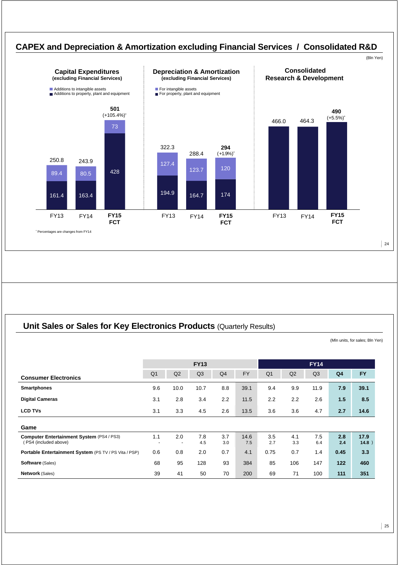

### **Unit Sales or Sales for Key Electronics Products (Quarterly Results)**

(Mln units, for sales; Bln Yen)

|                                                                         | <b>FY13</b>    |      |            |                | <b>FY14</b> |                |                |                |                |               |
|-------------------------------------------------------------------------|----------------|------|------------|----------------|-------------|----------------|----------------|----------------|----------------|---------------|
| <b>Consumer Electronics</b>                                             | Q <sub>1</sub> | Q2   | Q3         | Q <sub>4</sub> | <b>FY</b>   | Q <sub>1</sub> | Q <sub>2</sub> | Q <sub>3</sub> | Q <sub>4</sub> | <b>FY</b>     |
| <b>Smartphones</b>                                                      | 9.6            | 10.0 | 10.7       | 8.8            | 39.1        | 9.4            | 9.9            | 11.9           | 7.9            | 39.1          |
| <b>Digital Cameras</b>                                                  | 3.1            | 2.8  | 3.4        | 2.2            | 11.5        | 2.2            | 2.2            | 2.6            | 1.5            | 8.5           |
| <b>LCD TVs</b>                                                          | 3.1            | 3.3  | 4.5        | 2.6            | 13.5        | 3.6            | 3.6            | 4.7            | 2.7            | 14.6          |
| Game                                                                    |                |      |            |                |             |                |                |                |                |               |
| <b>Computer Entertainment System (PS4/PS3)</b><br>(PS4 (included above) | 1.1            | 2.0  | 7.8<br>4.5 | 3.7<br>3.0     | 14.6<br>7.5 | 3.5<br>2.7     | 4.1<br>3.3     | 7.5<br>6.4     | 2.8<br>2.4     | 17.9<br>14.8) |
| Portable Entertainment System (PS TV / PS Vita / PSP)                   | 0.6            | 0.8  | 2.0        | 0.7            | 4.1         | 0.75           | 0.7            | 1.4            | 0.45           | 3.3           |
| <b>Software (Sales)</b>                                                 | 68             | 95   | 128        | 93             | 384         | 85             | 106            | 147            | 122            | 460           |
| <b>Network (Sales)</b>                                                  | 39             | 41   | 50         | 70             | 200         | 69             | 71             | 100            | 111            | 351           |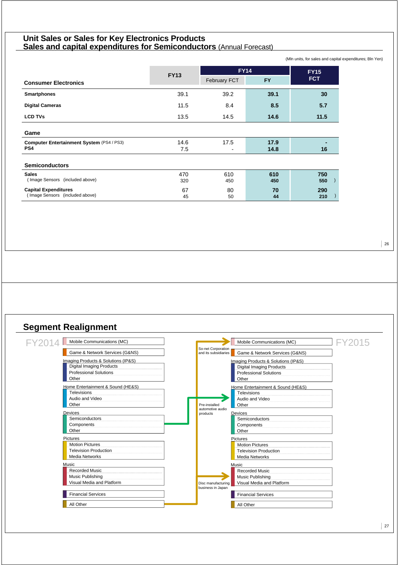### **Unit Sales or Sales for Key Electronics Products Sales and capital expenditures for Semiconductors** (Annual Forecast)

(Mln units, for sales and capital expenditures; Bln Yen)

|                                                                |                                                 | <b>FY14</b>                      | <b>FY15</b>  |            |
|----------------------------------------------------------------|-------------------------------------------------|----------------------------------|--------------|------------|
| <b>Consumer Electronics</b>                                    | <b>FY13</b><br><b>FY</b><br><b>February FCT</b> |                                  | <b>FCT</b>   |            |
| <b>Smartphones</b>                                             | 39.1                                            | 39.2                             | 39.1         | 30         |
| <b>Digital Cameras</b>                                         | 11.5                                            | 8.4                              | 8.5          | 5.7        |
| <b>LCD TVs</b>                                                 | 13.5                                            | 14.5                             | 14.6         | 11.5       |
| Game                                                           |                                                 |                                  |              |            |
| Computer Entertainment System (PS4 / PS3)<br>PS4               | 14.6<br>7.5                                     | 17.5<br>$\overline{\phantom{0}}$ | 17.9<br>14.8 | 16         |
| <b>Semiconductors</b>                                          |                                                 |                                  |              |            |
| <b>Sales</b><br>(Image Sensors (included above)                | 470<br>320                                      | 610<br>450                       | 610<br>450   | 750<br>550 |
| <b>Capital Expenditures</b><br>(Image Sensors (included above) | 67<br>45                                        | 80<br>50                         | 70<br>44     | 290<br>210 |

### **Segment Realignment**

| Mobile Communications (MC)<br>FY201 | FY2015<br>Mobile Communications (MC)                                         |
|-------------------------------------|------------------------------------------------------------------------------|
| Game & Network Services (G&NS)      | So-net Corporation<br>Game & Network Services (G&NS)<br>and its subsidiaries |
| Imaging Products & Solutions (IP&S) | Imaging Products & Solutions (IP&S)                                          |
| <b>Digital Imaging Products</b>     | <b>Digital Imaging Products</b>                                              |
| <b>Professional Solutions</b>       | <b>Professional Solutions</b>                                                |
| Other                               | Other                                                                        |
| Home Entertainment & Sound (HE&S)   | Home Entertainment & Sound (HE&S)                                            |
| Televisions                         | <b>Televisions</b>                                                           |
| Audio and Video                     | Audio and Video                                                              |
| Other                               | Other<br>Pre-installed                                                       |
| <b>Devices</b>                      | automotive audio<br>Devices<br>products                                      |
| Semiconductors                      | Semiconductors                                                               |
| Components                          | Components                                                                   |
| Other                               | Other                                                                        |
| <b>Pictures</b>                     | <b>Pictures</b>                                                              |
| <b>Motion Pictures</b>              | <b>Motion Pictures</b>                                                       |
| <b>Television Production</b>        | <b>Television Production</b>                                                 |
| <b>Media Networks</b>               | <b>Media Networks</b>                                                        |
| Music                               | Music                                                                        |
| <b>Recorded Music</b>               | <b>Recorded Music</b>                                                        |
| Music Publishing                    | Music Publishing                                                             |
| Visual Media and Platform           | Visual Media and Platform<br>Disc manufacturing<br>business in Japan         |
| <b>Financial Services</b>           | <b>Financial Services</b>                                                    |
| All Other                           | All Other                                                                    |